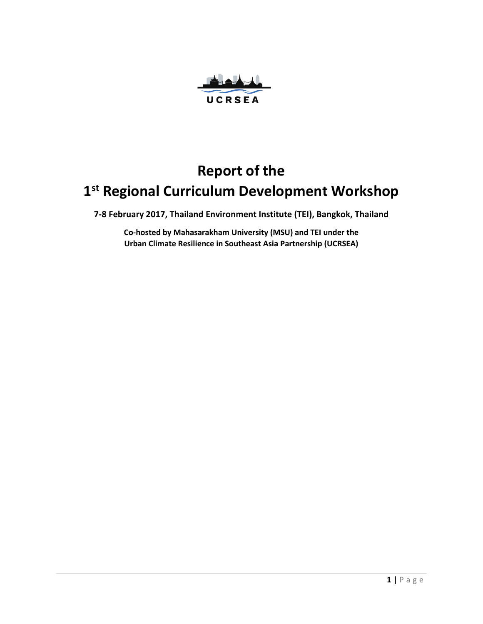

# **Report of the 1 st Regional Curriculum Development Workshop**

**7-8 February 2017, Thailand Environment Institute (TEI), Bangkok, Thailand** 

**Co-hosted by Mahasarakham University (MSU) and TEI under the Urban Climate Resilience in Southeast Asia Partnership (UCRSEA)**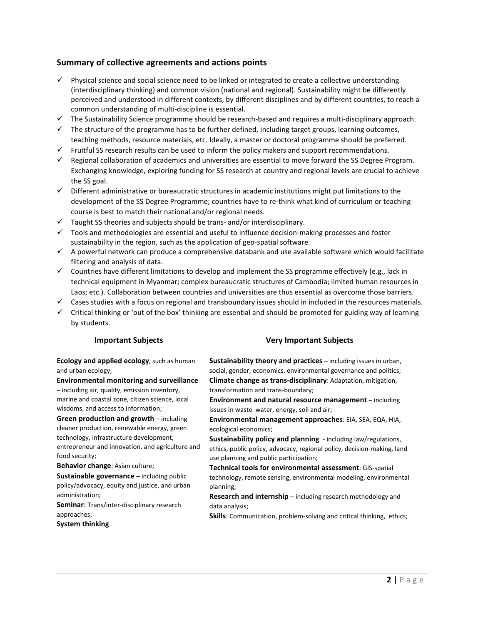#### **Summary of collective agreements and actions points**

- $\checkmark$  Physical science and social science need to be linked or integrated to create a collective understanding (interdisciplinary thinking) and common vision (national and regional). Sustainability might be differently perceived and understood in different contexts, by different disciplines and by different countries, to reach a common understanding of multi-discipline is essential.
- $\checkmark$  The Sustainability Science programme should be research-based and requires a multi-disciplinary approach.
- $\checkmark$  The structure of the programme has to be further defined, including target groups, learning outcomes, teaching methods, resource materials, etc. Ideally, a master or doctoral programme should be preferred.
- $\checkmark$  Fruitful SS research results can be used to inform the policy makers and support recommendations.
- $\checkmark$  Regional collaboration of academics and universities are essential to move forward the SS Degree Program. Exchanging knowledge, exploring funding for SS research at country and regional levels are crucial to achieve the SS goal.
- $\checkmark$  Different administrative or bureaucratic structures in academic institutions might put limitations to the development of the SS Degree Programme; countries have to re-think what kind of curriculum or teaching course is best to match their national and/or regional needs.
- $\checkmark$  Taught SS theories and subjects should be trans- and/or interdisciplinary.
- $\checkmark$  Tools and methodologies are essential and useful to influence decision-making processes and foster sustainability in the region, such as the application of geo-spatial software.
- $\checkmark$  A powerful network can produce a comprehensive databank and use available software which would facilitate filtering and analysis of data.
- $\checkmark$  Countries have different limitations to develop and implement the SS programme effectively (e.g., lack in technical equipment in Myanmar; complex bureaucratic structures of Cambodia; limited human resources in Laos; etc.). Collaboration between countries and universities are thus essential as overcome those barriers.
- $\checkmark$  Cases studies with a focus on regional and transboundary issues should in included in the resources materials.
- $\checkmark$  Critical thinking or 'out of the box' thinking are essential and should be promoted for guiding way of learning by students.

**Ecology and applied ecology**, such as human and urban ecology;

**Environmental monitoring and surveillance** – including air, quality, emission inventory,

marine and coastal zone, citizen science, local wisdoms, and access to information;

**Green production and growth** – including cleaner production, renewable energy, green technology, infrastructure development, entrepreneur and innovation, and agriculture and food security;

**Behavior change**: Asian culture;

**Sustainable governance** – including public policy/advocacy, equity and justice, and urban administration;

**Seminar**: Trans/inter-disciplinary research approaches;

**System thinking**

#### **Important Subjects Very Important Subjects**

**Sustainability theory and practices** – including issues in urban, social, gender, economics, environmental governance and politics; **Climate change as trans-disciplinary**: Adaptation, mitigation, transformation and trans-boundary;

**Environment and natural resource management** – including issues in waste water, energy, soil and air;

**Environmental management approaches**: EIA, SEA, EQA, HIA, ecological economics;

**Sustainability policy and planning** - including law/regulations, ethics, public policy, advocacy, regional policy, decision-making, land use planning and public participation;

**Technical tools for environmental assessment**: GIS-spatial technology, remote sensing, environmental modeling, environmental planning;

**Research and internship** – including research methodology and data analysis;

**Skills**: Communication, problem-solving and critical thinking, ethics;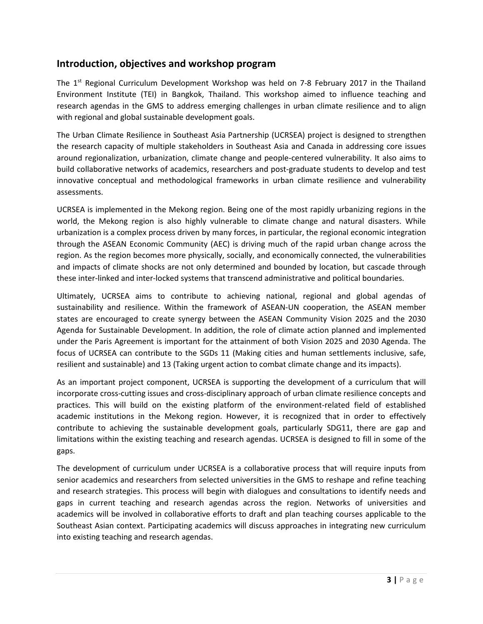### **Introduction, objectives and workshop program**

The  $1<sup>st</sup>$  Regional Curriculum Development Workshop was held on 7-8 February 2017 in the Thailand Environment Institute (TEI) in Bangkok, Thailand. This workshop aimed to influence teaching and research agendas in the GMS to address emerging challenges in urban climate resilience and to align with regional and global sustainable development goals.

The Urban Climate Resilience in Southeast Asia Partnership (UCRSEA) project is designed to strengthen the research capacity of multiple stakeholders in Southeast Asia and Canada in addressing core issues around regionalization, urbanization, climate change and people-centered vulnerability. It also aims to build collaborative networks of academics, researchers and post-graduate students to develop and test innovative conceptual and methodological frameworks in urban climate resilience and vulnerability assessments.

UCRSEA is implemented in the Mekong region. Being one of the most rapidly urbanizing regions in the world, the Mekong region is also highly vulnerable to climate change and natural disasters. While urbanization is a complex process driven by many forces, in particular, the regional economic integration through the ASEAN Economic Community (AEC) is driving much of the rapid urban change across the region. As the region becomes more physically, socially, and economically connected, the vulnerabilities and impacts of climate shocks are not only determined and bounded by location, but cascade through these inter-linked and inter-locked systems that transcend administrative and political boundaries.

Ultimately, UCRSEA aims to contribute to achieving national, regional and global agendas of sustainability and resilience. Within the framework of ASEAN-UN cooperation, the ASEAN member states are encouraged to create synergy between the ASEAN Community Vision 2025 and the 2030 Agenda for Sustainable Development. In addition, the role of climate action planned and implemented under the Paris Agreement is important for the attainment of both Vision 2025 and 2030 Agenda. The focus of UCRSEA can contribute to the SGDs 11 (Making cities and human settlements inclusive, safe, resilient and sustainable) and 13 (Taking urgent action to combat climate change and its impacts).

As an important project component, UCRSEA is supporting the development of a curriculum that will incorporate cross-cutting issues and cross-disciplinary approach of urban climate resilience concepts and practices. This will build on the existing platform of the environment-related field of established academic institutions in the Mekong region. However, it is recognized that in order to effectively contribute to achieving the sustainable development goals, particularly SDG11, there are gap and limitations within the existing teaching and research agendas. UCRSEA is designed to fill in some of the gaps.

The development of curriculum under UCRSEA is a collaborative process that will require inputs from senior academics and researchers from selected universities in the GMS to reshape and refine teaching and research strategies. This process will begin with dialogues and consultations to identify needs and gaps in current teaching and research agendas across the region. Networks of universities and academics will be involved in collaborative efforts to draft and plan teaching courses applicable to the Southeast Asian context. Participating academics will discuss approaches in integrating new curriculum into existing teaching and research agendas.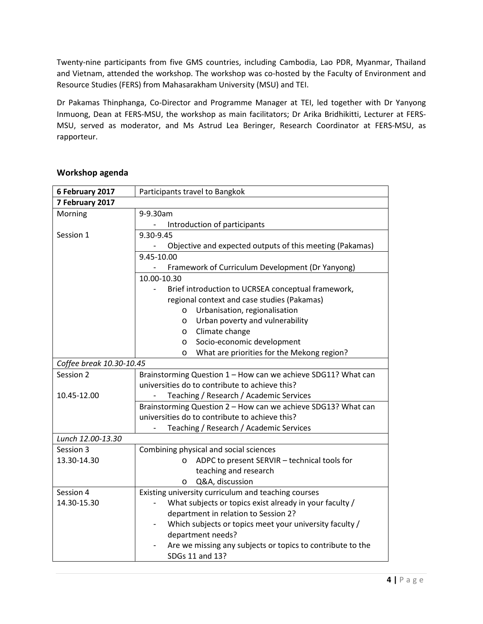Twenty-nine participants from five GMS countries, including Cambodia, Lao PDR, Myanmar, Thailand and Vietnam, attended the workshop. The workshop was co-hosted by the Faculty of Environment and Resource Studies (FERS) from Mahasarakham University (MSU) and TEI.

Dr Pakamas Thinphanga, Co-Director and Programme Manager at TEI, led together with Dr Yanyong Inmuong, Dean at FERS-MSU, the workshop as main facilitators; Dr Arika Bridhikitti, Lecturer at FERS-MSU, served as moderator, and Ms Astrud Lea Beringer, Research Coordinator at FERS-MSU, as rapporteur.

| 6 February 2017          | Participants travel to Bangkok                                                |  |  |  |  |  |  |  |  |
|--------------------------|-------------------------------------------------------------------------------|--|--|--|--|--|--|--|--|
| 7 February 2017          |                                                                               |  |  |  |  |  |  |  |  |
| Morning                  | 9-9.30am                                                                      |  |  |  |  |  |  |  |  |
|                          | Introduction of participants                                                  |  |  |  |  |  |  |  |  |
| Session 1                | 9.30-9.45                                                                     |  |  |  |  |  |  |  |  |
|                          | Objective and expected outputs of this meeting (Pakamas)                      |  |  |  |  |  |  |  |  |
|                          | 9.45-10.00                                                                    |  |  |  |  |  |  |  |  |
|                          | Framework of Curriculum Development (Dr Yanyong)                              |  |  |  |  |  |  |  |  |
|                          | 10.00-10.30                                                                   |  |  |  |  |  |  |  |  |
|                          | Brief introduction to UCRSEA conceptual framework,                            |  |  |  |  |  |  |  |  |
|                          | regional context and case studies (Pakamas)                                   |  |  |  |  |  |  |  |  |
|                          | Urbanisation, regionalisation<br>$\circ$                                      |  |  |  |  |  |  |  |  |
|                          | Urban poverty and vulnerability<br>O                                          |  |  |  |  |  |  |  |  |
|                          | Climate change<br>$\circ$                                                     |  |  |  |  |  |  |  |  |
|                          | Socio-economic development<br>O                                               |  |  |  |  |  |  |  |  |
|                          | What are priorities for the Mekong region?<br>O                               |  |  |  |  |  |  |  |  |
| Coffee break 10.30-10.45 |                                                                               |  |  |  |  |  |  |  |  |
| Session 2                | Brainstorming Question 1 - How can we achieve SDG11? What can                 |  |  |  |  |  |  |  |  |
|                          | universities do to contribute to achieve this?                                |  |  |  |  |  |  |  |  |
| 10.45-12.00              | Teaching / Research / Academic Services                                       |  |  |  |  |  |  |  |  |
|                          | Brainstorming Question 2 - How can we achieve SDG13? What can                 |  |  |  |  |  |  |  |  |
|                          | universities do to contribute to achieve this?                                |  |  |  |  |  |  |  |  |
|                          | Teaching / Research / Academic Services                                       |  |  |  |  |  |  |  |  |
| Lunch 12.00-13.30        |                                                                               |  |  |  |  |  |  |  |  |
| Session 3                | Combining physical and social sciences                                        |  |  |  |  |  |  |  |  |
| 13.30-14.30              | ADPC to present SERVIR - technical tools for<br>$\circ$                       |  |  |  |  |  |  |  |  |
|                          | teaching and research                                                         |  |  |  |  |  |  |  |  |
|                          | Q&A, discussion<br>O                                                          |  |  |  |  |  |  |  |  |
| Session 4                | Existing university curriculum and teaching courses                           |  |  |  |  |  |  |  |  |
| 14.30-15.30              | What subjects or topics exist already in your faculty /                       |  |  |  |  |  |  |  |  |
|                          | department in relation to Session 2?                                          |  |  |  |  |  |  |  |  |
|                          | Which subjects or topics meet your university faculty /                       |  |  |  |  |  |  |  |  |
|                          | department needs?                                                             |  |  |  |  |  |  |  |  |
|                          | Are we missing any subjects or topics to contribute to the<br>SDGs 11 and 13? |  |  |  |  |  |  |  |  |
|                          |                                                                               |  |  |  |  |  |  |  |  |

#### **Workshop agenda**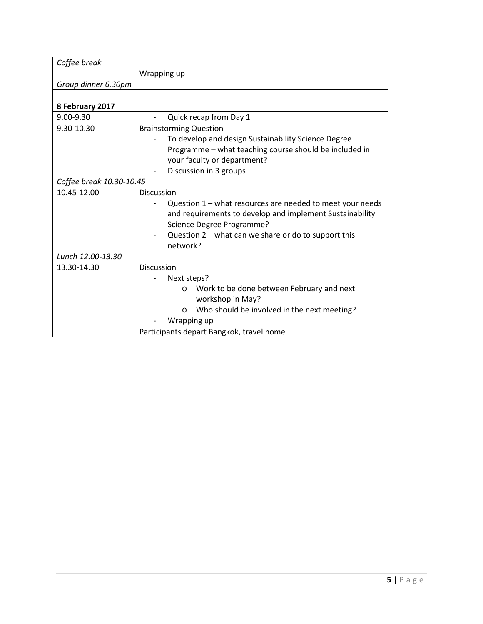| Coffee break             |                                                           |  |  |  |  |  |  |
|--------------------------|-----------------------------------------------------------|--|--|--|--|--|--|
|                          | Wrapping up                                               |  |  |  |  |  |  |
| Group dinner 6.30pm      |                                                           |  |  |  |  |  |  |
|                          |                                                           |  |  |  |  |  |  |
| 8 February 2017          |                                                           |  |  |  |  |  |  |
| 9.00-9.30                | Quick recap from Day 1                                    |  |  |  |  |  |  |
| 9.30-10.30               | <b>Brainstorming Question</b>                             |  |  |  |  |  |  |
|                          | To develop and design Sustainability Science Degree       |  |  |  |  |  |  |
|                          | Programme - what teaching course should be included in    |  |  |  |  |  |  |
|                          | your faculty or department?                               |  |  |  |  |  |  |
|                          | Discussion in 3 groups                                    |  |  |  |  |  |  |
| Coffee break 10.30-10.45 |                                                           |  |  |  |  |  |  |
| 10.45-12.00              | <b>Discussion</b>                                         |  |  |  |  |  |  |
|                          | Question 1 - what resources are needed to meet your needs |  |  |  |  |  |  |
|                          | and requirements to develop and implement Sustainability  |  |  |  |  |  |  |
|                          | Science Degree Programme?                                 |  |  |  |  |  |  |
|                          | Question 2 – what can we share or do to support this      |  |  |  |  |  |  |
|                          | network?                                                  |  |  |  |  |  |  |
| Lunch 12.00-13.30        |                                                           |  |  |  |  |  |  |
| 13.30-14.30              | Discussion                                                |  |  |  |  |  |  |
|                          | Next steps?                                               |  |  |  |  |  |  |
|                          | Work to be done between February and next<br>$\circ$      |  |  |  |  |  |  |
|                          | workshop in May?                                          |  |  |  |  |  |  |
|                          | Who should be involved in the next meeting?<br>$\circ$    |  |  |  |  |  |  |
|                          | Wrapping up                                               |  |  |  |  |  |  |
|                          | Participants depart Bangkok, travel home                  |  |  |  |  |  |  |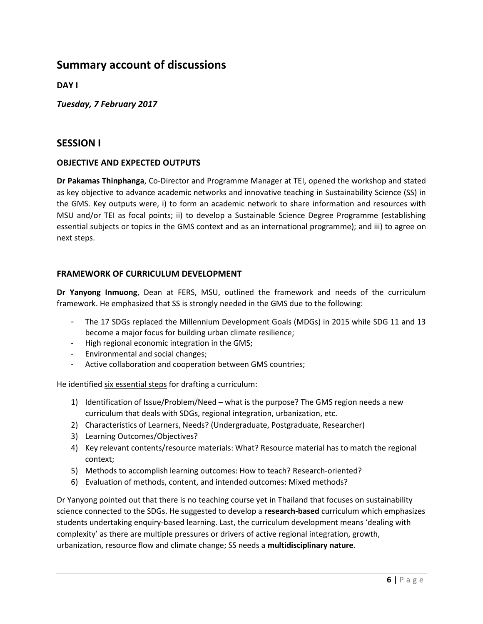## **Summary account of discussions**

**DAY I** 

*Tuesday, 7 February 2017* 

#### **SESSION I**

#### **OBJECTIVE AND EXPECTED OUTPUTS**

**Dr Pakamas Thinphanga**, Co-Director and Programme Manager at TEI, opened the workshop and stated as key objective to advance academic networks and innovative teaching in Sustainability Science (SS) in the GMS. Key outputs were, i) to form an academic network to share information and resources with MSU and/or TEI as focal points; ii) to develop a Sustainable Science Degree Programme (establishing essential subjects or topics in the GMS context and as an international programme); and iii) to agree on next steps.

#### **FRAMEWORK OF CURRICULUM DEVELOPMENT**

**Dr Yanyong Inmuong**, Dean at FERS, MSU, outlined the framework and needs of the curriculum framework. He emphasized that SS is strongly needed in the GMS due to the following:

- The 17 SDGs replaced the Millennium Development Goals (MDGs) in 2015 while SDG 11 and 13 become a major focus for building urban climate resilience;
- High regional economic integration in the GMS;
- Environmental and social changes;
- Active collaboration and cooperation between GMS countries;

He identified six essential steps for drafting a curriculum:

- 1) Identification of Issue/Problem/Need what is the purpose? The GMS region needs a new curriculum that deals with SDGs, regional integration, urbanization, etc.
- 2) Characteristics of Learners, Needs? (Undergraduate, Postgraduate, Researcher)
- 3) Learning Outcomes/Objectives?
- 4) Key relevant contents/resource materials: What? Resource material has to match the regional context;
- 5) Methods to accomplish learning outcomes: How to teach? Research-oriented?
- 6) Evaluation of methods, content, and intended outcomes: Mixed methods?

Dr Yanyong pointed out that there is no teaching course yet in Thailand that focuses on sustainability science connected to the SDGs. He suggested to develop a **research-based** curriculum which emphasizes students undertaking enquiry-based learning. Last, the curriculum development means 'dealing with complexity' as there are multiple pressures or drivers of active regional integration, growth, urbanization, resource flow and climate change; SS needs a **multidisciplinary nature**.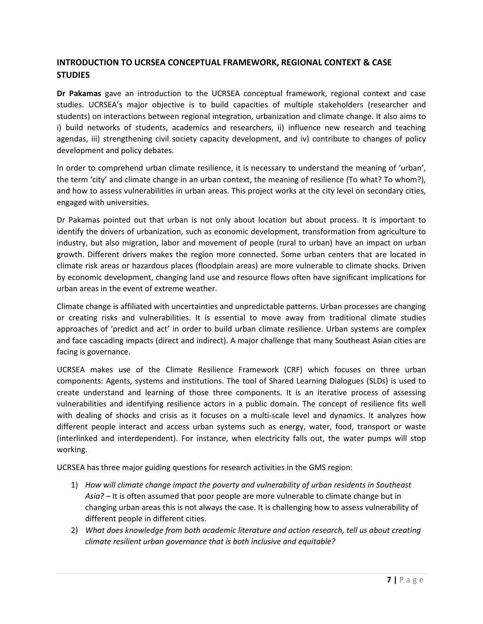### **INTRODUCTION TO UCRSEA CONCEPTUAL FRAMEWORK, REGIONAL CONTEXT & CASE STUDIES**

**Dr Pakamas** gave an introduction to the UCRSEA conceptual framework, regional context and case studies. UCRSEA's major objective is to build capacities of multiple stakeholders (researcher and students) on interactions between regional integration, urbanization and climate change. It also aims to i) build networks of students, academics and researchers, ii) influence new research and teaching agendas, iii) strengthening civil society capacity development, and iv) contribute to changes of policy development and policy debates.

In order to comprehend urban climate resilience, it is necessary to understand the meaning of 'urban', the term 'city' and climate change in an urban context, the meaning of resilience (To what? To whom?), and how to assess vulnerabilities in urban areas. This project works at the city level on secondary cities, engaged with universities.

Dr Pakamas pointed out that urban is not only about location but about process. It is important to identify the drivers of urbanization, such as economic development, transformation from agriculture to industry, but also migration, labor and movement of people (rural to urban) have an impact on urban growth. Different drivers makes the region more connected. Some urban centers that are located in climate risk areas or hazardous places (floodplain areas) are more vulnerable to climate shocks. Driven by economic development, changing land use and resource flows often have significant implications for urban areas in the event of extreme weather.

Climate change is affiliated with uncertainties and unpredictable patterns. Urban processes are changing or creating risks and vulnerabilities. It is essential to move away from traditional climate studies approaches of 'predict and act' in order to build urban climate resilience. Urban systems are complex and face cascading impacts (direct and indirect). A major challenge that many Southeast Asian cities are facing is governance.

UCRSEA makes use of the Climate Resilience Framework (CRF) which focuses on three urban components: Agents, systems and institutions. The tool of Shared Learning Dialogues (SLDs) is used to create understand and learning of those three components. It is an iterative process of assessing vulnerabilities and identifying resilience actors in a public domain. The concept of resilience fits well with dealing of shocks and crisis as it focuses on a multi-scale level and dynamics. It analyzes how different people interact and access urban systems such as energy, water, food, transport or waste (interlinked and interdependent). For instance, when electricity falls out, the water pumps will stop working.

UCRSEA has three major guiding questions for research activities in the GMS region:

- 1) *How will climate change impact the poverty and vulnerability of urban residents in Southeast Asia?* – It is often assumed that poor people are more vulnerable to climate change but in changing urban areas this is not always the case. It is challenging how to assess vulnerability of different people in different cities.
- 2) *What does knowledge from both academic literature and action research, tell us about creating climate resilient urban governance that is both inclusive and equitable?*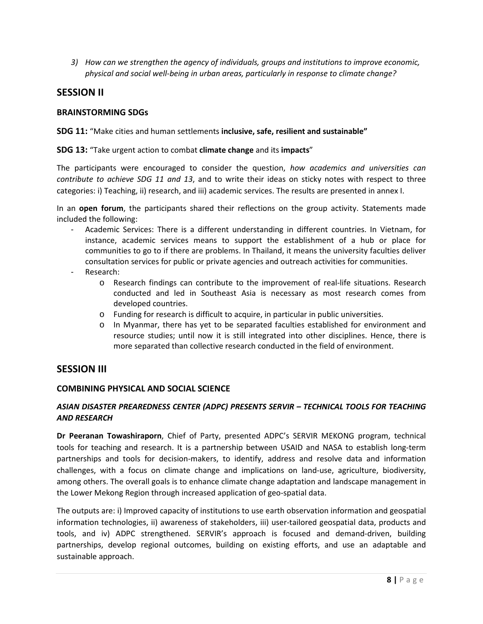*3) How can we strengthen the agency of individuals, groups and institutions to improve economic, physical and social well-being in urban areas, particularly in response to climate change?* 

#### **SESSION II**

#### **BRAINSTORMING SDGs**

#### **SDG 11:** "Make cities and human settlements **inclusive, safe, resilient and sustainable"**

#### **SDG 13:** "Take urgent action to combat **climate change** and its **impacts**"

The participants were encouraged to consider the question, *how academics and universities can contribute to achieve SDG 11 and 13*, and to write their ideas on sticky notes with respect to three categories: i) Teaching, ii) research, and iii) academic services. The results are presented in annex I.

In an **open forum**, the participants shared their reflections on the group activity. Statements made included the following:

- Academic Services: There is a different understanding in different countries. In Vietnam, for instance, academic services means to support the establishment of a hub or place for communities to go to if there are problems. In Thailand, it means the university faculties deliver consultation services for public or private agencies and outreach activities for communities.
- Research:
	- o Research findings can contribute to the improvement of real-life situations. Research conducted and led in Southeast Asia is necessary as most research comes from developed countries.
	- o Funding for research is difficult to acquire, in particular in public universities.
	- o In Myanmar, there has yet to be separated faculties established for environment and resource studies; until now it is still integrated into other disciplines. Hence, there is more separated than collective research conducted in the field of environment.

#### **SESSION III**

#### **COMBINING PHYSICAL AND SOCIAL SCIENCE**

#### *ASIAN DISASTER PREAREDNESS CENTER (ADPC) PRESENTS SERVIR – TECHNICAL TOOLS FOR TEACHING AND RESEARCH*

**Dr Peeranan Towashiraporn**, Chief of Party, presented ADPC's SERVIR MEKONG program, technical tools for teaching and research. It is a partnership between USAID and NASA to establish long-term partnerships and tools for decision-makers, to identify, address and resolve data and information challenges, with a focus on climate change and implications on land-use, agriculture, biodiversity, among others. The overall goals is to enhance climate change adaptation and landscape management in the Lower Mekong Region through increased application of geo-spatial data.

The outputs are: i) Improved capacity of institutions to use earth observation information and geospatial information technologies, ii) awareness of stakeholders, iii) user-tailored geospatial data, products and tools, and iv) ADPC strengthened. SERVIR's approach is focused and demand-driven, building partnerships, develop regional outcomes, building on existing efforts, and use an adaptable and sustainable approach.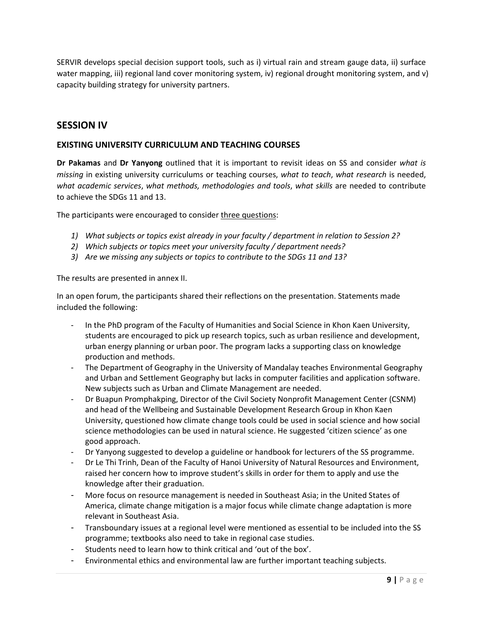SERVIR develops special decision support tools, such as i) virtual rain and stream gauge data, ii) surface water mapping, iii) regional land cover monitoring system, iv) regional drought monitoring system, and v) capacity building strategy for university partners.

### **SESSION IV**

#### **EXISTING UNIVERSITY CURRICULUM AND TEACHING COURSES**

**Dr Pakamas** and **Dr Yanyong** outlined that it is important to revisit ideas on SS and consider *what is missing* in existing university curriculums or teaching courses, *what to teach*, *what research* is needed, *what academic services*, *what methods, methodologies and tools*, *what skills* are needed to contribute to achieve the SDGs 11 and 13.

The participants were encouraged to consider three questions:

- *1) What subjects or topics exist already in your faculty / department in relation to Session 2?*
- *2) Which subjects or topics meet your university faculty / department needs?*
- *3) Are we missing any subjects or topics to contribute to the SDGs 11 and 13?*

The results are presented in annex II.

In an open forum, the participants shared their reflections on the presentation. Statements made included the following:

- In the PhD program of the Faculty of Humanities and Social Science in Khon Kaen University, students are encouraged to pick up research topics, such as urban resilience and development, urban energy planning or urban poor. The program lacks a supporting class on knowledge production and methods.
- The Department of Geography in the University of Mandalay teaches Environmental Geography and Urban and Settlement Geography but lacks in computer facilities and application software. New subjects such as Urban and Climate Management are needed.
- Dr Buapun Promphakping, Director of the Civil Society Nonprofit Management Center (CSNM) and head of the Wellbeing and Sustainable Development Research Group in Khon Kaen University, questioned how climate change tools could be used in social science and how social science methodologies can be used in natural science. He suggested 'citizen science' as one good approach.
- Dr Yanyong suggested to develop a guideline or handbook for lecturers of the SS programme.
- Dr Le Thi Trinh, Dean of the Faculty of Hanoi University of Natural Resources and Environment, raised her concern how to improve student's skills in order for them to apply and use the knowledge after their graduation.
- More focus on resource management is needed in Southeast Asia; in the United States of America, climate change mitigation is a major focus while climate change adaptation is more relevant in Southeast Asia.
- Transboundary issues at a regional level were mentioned as essential to be included into the SS programme; textbooks also need to take in regional case studies.
- Students need to learn how to think critical and 'out of the box'.
- Environmental ethics and environmental law are further important teaching subjects.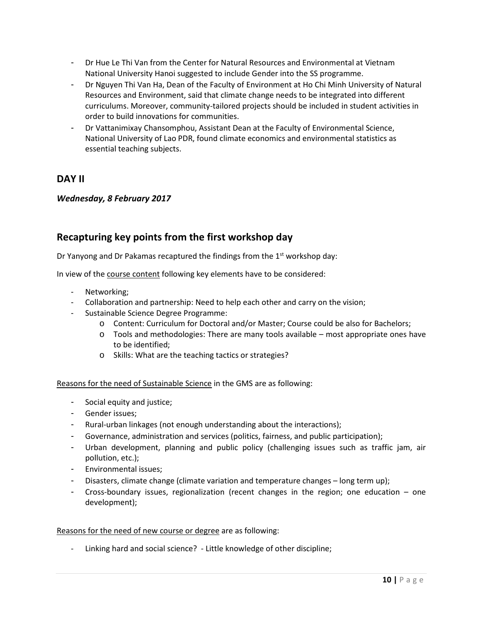- Dr Hue Le Thi Van from the Center for Natural Resources and Environmental at Vietnam National University Hanoi suggested to include Gender into the SS programme.
- Dr Nguyen Thi Van Ha, Dean of the Faculty of Environment at Ho Chi Minh University of Natural Resources and Environment, said that climate change needs to be integrated into different curriculums. Moreover, community-tailored projects should be included in student activities in order to build innovations for communities.
- Dr Vattanimixay Chansomphou, Assistant Dean at the Faculty of Environmental Science, National University of Lao PDR, found climate economics and environmental statistics as essential teaching subjects.

### **DAY II**

#### *Wednesday, 8 February 2017*

### **Recapturing key points from the first workshop day**

Dr Yanyong and Dr Pakamas recaptured the findings from the 1<sup>st</sup> workshop day:

In view of the course content following key elements have to be considered:

- Networking;
- Collaboration and partnership: Need to help each other and carry on the vision;
- Sustainable Science Degree Programme:
	- o Content: Curriculum for Doctoral and/or Master; Course could be also for Bachelors;
	- $\circ$  Tools and methodologies: There are many tools available most appropriate ones have to be identified;
	- o Skills: What are the teaching tactics or strategies?

#### Reasons for the need of Sustainable Science in the GMS are as following:

- Social equity and justice;
- Gender issues;
- Rural-urban linkages (not enough understanding about the interactions);
- Governance, administration and services (politics, fairness, and public participation);
- Urban development, planning and public policy (challenging issues such as traffic jam, air pollution, etc.);
- Environmental issues;
- Disasters, climate change (climate variation and temperature changes long term up);
- Cross-boundary issues, regionalization (recent changes in the region; one education one development);

#### Reasons for the need of new course or degree are as following:

Linking hard and social science? - Little knowledge of other discipline;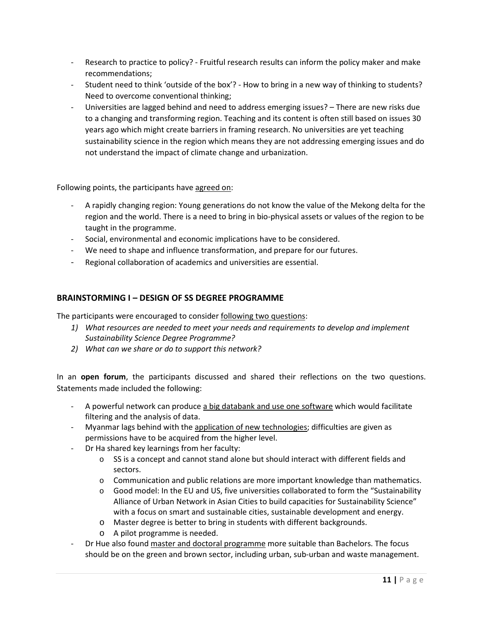- Research to practice to policy? Fruitful research results can inform the policy maker and make recommendations;
- Student need to think 'outside of the box'? How to bring in a new way of thinking to students? Need to overcome conventional thinking;
- Universities are lagged behind and need to address emerging issues? There are new risks due to a changing and transforming region. Teaching and its content is often still based on issues 30 years ago which might create barriers in framing research. No universities are yet teaching sustainability science in the region which means they are not addressing emerging issues and do not understand the impact of climate change and urbanization.

Following points, the participants have agreed on:

- A rapidly changing region: Young generations do not know the value of the Mekong delta for the region and the world. There is a need to bring in bio-physical assets or values of the region to be taught in the programme.
- Social, environmental and economic implications have to be considered.
- We need to shape and influence transformation, and prepare for our futures.
- Regional collaboration of academics and universities are essential.

#### **BRAINSTORMING I – DESIGN OF SS DEGREE PROGRAMME**

The participants were encouraged to consider following two questions:

- *1) What resources are needed to meet your needs and requirements to develop and implement Sustainability Science Degree Programme?*
- *2) What can we share or do to support this network?*

In an **open forum**, the participants discussed and shared their reflections on the two questions. Statements made included the following:

- A powerful network can produce a big databank and use one software which would facilitate filtering and the analysis of data.
- Myanmar lags behind with the application of new technologies; difficulties are given as permissions have to be acquired from the higher level.
- Dr Ha shared key learnings from her faculty:
	- o SS is a concept and cannot stand alone but should interact with different fields and sectors.
	- $\circ$  Communication and public relations are more important knowledge than mathematics.
	- o Good model: In the EU and US, five universities collaborated to form the "Sustainability Alliance of Urban Network in Asian Cities to build capacities for Sustainability Science" with a focus on smart and sustainable cities, sustainable development and energy.
	- o Master degree is better to bring in students with different backgrounds.
	- o A pilot programme is needed.
- Dr Hue also found master and doctoral programme more suitable than Bachelors. The focus should be on the green and brown sector, including urban, sub-urban and waste management.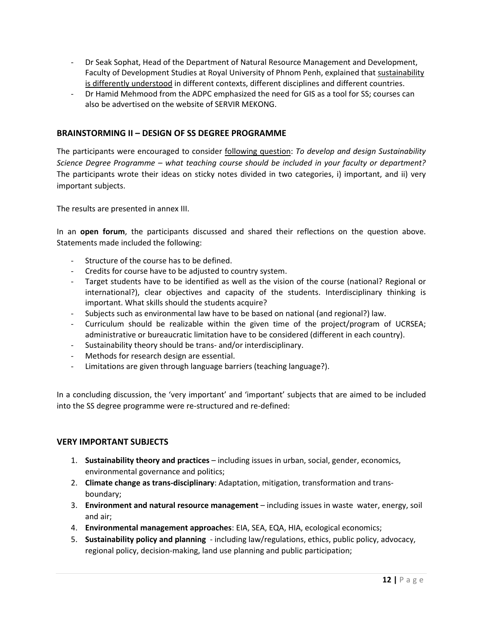- Dr Seak Sophat, Head of the Department of Natural Resource Management and Development, Faculty of Development Studies at Royal University of Phnom Penh, explained that sustainability is differently understood in different contexts, different disciplines and different countries.
- Dr Hamid Mehmood from the ADPC emphasized the need for GIS as a tool for SS; courses can also be advertised on the website of SERVIR MEKONG.

#### **BRAINSTORMING II – DESIGN OF SS DEGREE PROGRAMME**

The participants were encouraged to consider following question: *To develop and design Sustainability Science Degree Programme – what teaching course should be included in your faculty or department?* The participants wrote their ideas on sticky notes divided in two categories, i) important, and ii) very important subjects.

The results are presented in annex III.

In an **open forum**, the participants discussed and shared their reflections on the question above. Statements made included the following:

- Structure of the course has to be defined.
- Credits for course have to be adjusted to country system.
- Target students have to be identified as well as the vision of the course (national? Regional or international?), clear objectives and capacity of the students. Interdisciplinary thinking is important. What skills should the students acquire?
- Subjects such as environmental law have to be based on national (and regional?) law.
- Curriculum should be realizable within the given time of the project/program of UCRSEA; administrative or bureaucratic limitation have to be considered (different in each country).
- Sustainability theory should be trans- and/or interdisciplinary.
- Methods for research design are essential.
- Limitations are given through language barriers (teaching language?).

In a concluding discussion, the 'very important' and 'important' subjects that are aimed to be included into the SS degree programme were re-structured and re-defined:

#### **VERY IMPORTANT SUBJECTS**

- 1. **Sustainability theory and practices** including issues in urban, social, gender, economics, environmental governance and politics;
- 2. **Climate change as trans-disciplinary**: Adaptation, mitigation, transformation and transboundary;
- 3. **Environment and natural resource management** including issues in waste water, energy, soil and air;
- 4. **Environmental management approaches**: EIA, SEA, EQA, HIA, ecological economics;
- 5. **Sustainability policy and planning** including law/regulations, ethics, public policy, advocacy, regional policy, decision-making, land use planning and public participation;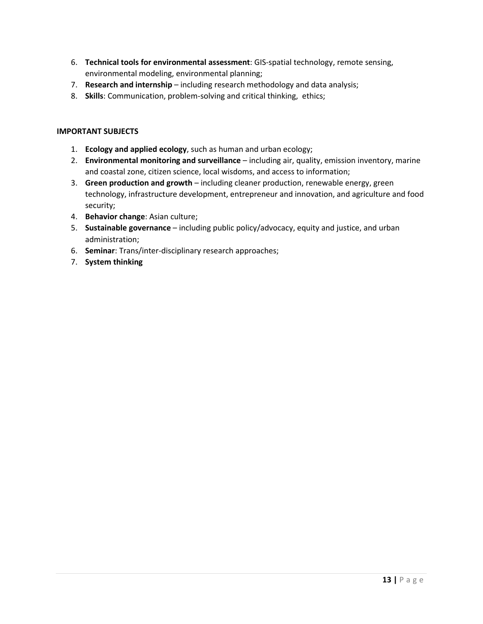- 6. **Technical tools for environmental assessment**: GIS-spatial technology, remote sensing, environmental modeling, environmental planning;
- 7. **Research and internship** including research methodology and data analysis;
- 8. **Skills**: Communication, problem-solving and critical thinking, ethics;

#### **IMPORTANT SUBJECTS**

- 1. **Ecology and applied ecology**, such as human and urban ecology;
- 2. **Environmental monitoring and surveillance** including air, quality, emission inventory, marine and coastal zone, citizen science, local wisdoms, and access to information;
- 3. **Green production and growth**  including cleaner production, renewable energy, green technology, infrastructure development, entrepreneur and innovation, and agriculture and food security;
- 4. **Behavior change**: Asian culture;
- 5. **Sustainable governance** including public policy/advocacy, equity and justice, and urban administration;
- 6. **Seminar**: Trans/inter-disciplinary research approaches;
- 7. **System thinking**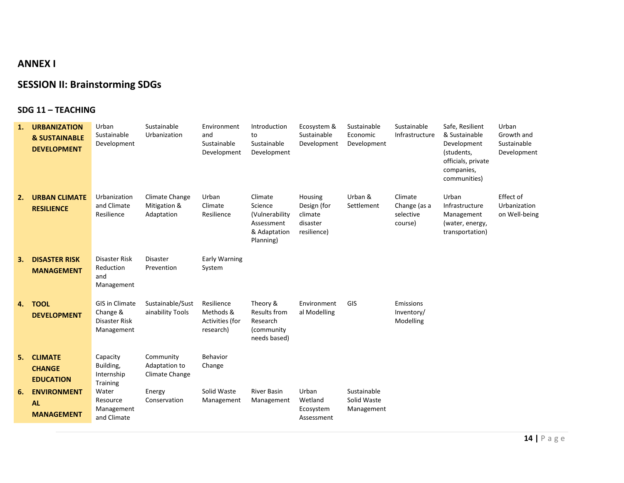### **ANNEX I**

### **SESSION II: Brainstorming SDGs**

#### **SDG 11 – TEACHING**

| 1. | <b>URBANIZATION</b><br><b>&amp; SUSTAINABLE</b><br><b>DEVELOPMENT</b> | Urban<br>Sustainable<br>Development                              | Sustainable<br>Urbanization                  | Environment<br>and<br>Sustainable<br>Development        | Introduction<br>to<br>Sustainable<br>Development                                | Ecosystem &<br>Sustainable<br>Development                    | Sustainable<br>Economic<br>Development   | Sustainable<br>Infrastructure                   | Safe, Resilient<br>& Sustainable<br>Development<br>(students,<br>officials, private<br>companies,<br>communities) | Urban<br>Growth and<br>Sustainable<br>Development |
|----|-----------------------------------------------------------------------|------------------------------------------------------------------|----------------------------------------------|---------------------------------------------------------|---------------------------------------------------------------------------------|--------------------------------------------------------------|------------------------------------------|-------------------------------------------------|-------------------------------------------------------------------------------------------------------------------|---------------------------------------------------|
| 2. | <b>URBAN CLIMATE</b><br><b>RESILIENCE</b>                             | Urbanization<br>and Climate<br>Resilience                        | Climate Change<br>Mitigation &<br>Adaptation | Urban<br>Climate<br>Resilience                          | Climate<br>Science<br>(Vulnerability<br>Assessment<br>& Adaptation<br>Planning) | Housing<br>Design (for<br>climate<br>disaster<br>resilience) | Urban &<br>Settlement                    | Climate<br>Change (as a<br>selective<br>course) | Urban<br>Infrastructure<br>Management<br>(water, energy,<br>transportation)                                       | Effect of<br>Urbanization<br>on Well-being        |
| 3. | <b>DISASTER RISK</b><br><b>MANAGEMENT</b>                             | <b>Disaster Risk</b><br>Reduction<br>and<br>Management           | <b>Disaster</b><br>Prevention                | Early Warning<br>System                                 |                                                                                 |                                                              |                                          |                                                 |                                                                                                                   |                                                   |
| 4. | <b>TOOL</b><br><b>DEVELOPMENT</b>                                     | <b>GIS in Climate</b><br>Change &<br>Disaster Risk<br>Management | Sustainable/Sust<br>ainability Tools         | Resilience<br>Methods &<br>Activities (for<br>research) | Theory &<br><b>Results from</b><br>Research<br>(community)<br>needs based)      | Environment<br>al Modelling                                  | GIS                                      | Emissions<br>Inventory/<br>Modelling            |                                                                                                                   |                                                   |
| 5. | <b>CLIMATE</b><br><b>CHANGE</b><br><b>EDUCATION</b>                   | Capacity<br>Building,<br>Internship<br>Training                  | Community<br>Adaptation to<br>Climate Change | Behavior<br>Change                                      |                                                                                 |                                                              |                                          |                                                 |                                                                                                                   |                                                   |
| 6. | <b>ENVIRONMENT</b><br><b>AL</b><br><b>MANAGEMENT</b>                  | Water<br>Resource<br>Management<br>and Climate                   | Energy<br>Conservation                       | Solid Waste<br>Management                               | <b>River Basin</b><br>Management                                                | Urban<br>Wetland<br>Ecosystem<br>Assessment                  | Sustainable<br>Solid Waste<br>Management |                                                 |                                                                                                                   |                                                   |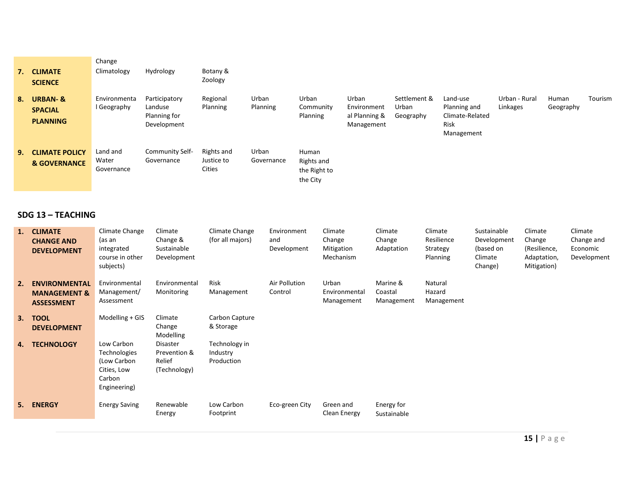|    | 7. CLIMATE<br><b>SCIENCE</b>                            | Change<br>Climatology           | Hydrology                                               | Botany &<br>Zoology                |                     |                                                 |                                                     |                                    |                                                                   |                           |                    |         |
|----|---------------------------------------------------------|---------------------------------|---------------------------------------------------------|------------------------------------|---------------------|-------------------------------------------------|-----------------------------------------------------|------------------------------------|-------------------------------------------------------------------|---------------------------|--------------------|---------|
| 8. | <b>URBAN-&amp;</b><br><b>SPACIAL</b><br><b>PLANNING</b> | Environmenta<br>I Geography     | Participatory<br>Landuse<br>Planning for<br>Development | Regional<br>Planning               | Urban<br>Planning   | Urban<br>Community<br>Planning                  | Urban<br>Environment<br>al Planning &<br>Management | Settlement &<br>Urban<br>Geography | Land-use<br>Planning and<br>Climate-Related<br>Risk<br>Management | Urban - Rural<br>Linkages | Human<br>Geography | Tourism |
|    | <b>9. CLIMATE POLICY</b><br><b>&amp; GOVERNANCE</b>     | Land and<br>Water<br>Governance | Community Self-<br>Governance                           | Rights and<br>Justice to<br>Cities | Urban<br>Governance | Human<br>Rights and<br>the Right to<br>the City |                                                     |                                    |                                                                   |                           |                    |         |

#### **SDG 13 – TEACHING**

| 1. | <b>CLIMATE</b><br><b>CHANGE AND</b><br><b>DEVELOPMENT</b>            | Climate Change<br>(as an<br>integrated<br>course in other<br>subjects)             | Climate<br>Change &<br>Sustainable<br>Development  | Climate Change<br>(for all majors)      | Environment<br>and<br>Development | Climate<br>Change<br>Mitigation<br>Mechanism | Climate<br>Change<br>Adaptation   | Climate<br>Resilience<br>Strategy<br>Planning | Sustainable<br>Development<br>(based on<br>Climate<br>Change) | Climate<br>Change<br>(Resilience,<br>Adaptation,<br>Mitigation) | Climate<br>Change and<br>Economic<br>Development |
|----|----------------------------------------------------------------------|------------------------------------------------------------------------------------|----------------------------------------------------|-----------------------------------------|-----------------------------------|----------------------------------------------|-----------------------------------|-----------------------------------------------|---------------------------------------------------------------|-----------------------------------------------------------------|--------------------------------------------------|
| 2. | <b>ENVIRONMENTAL</b><br><b>MANAGEMENT &amp;</b><br><b>ASSESSMENT</b> | Environmental<br>Management/<br>Assessment                                         | Environmental<br>Monitoring                        | Risk<br>Management                      | Air Pollution<br>Control          | Urban<br>Environmental<br>Management         | Marine &<br>Coastal<br>Management | Natural<br>Hazard<br>Management               |                                                               |                                                                 |                                                  |
| 3. | <b>TOOL</b><br><b>DEVELOPMENT</b>                                    | Modelling $+$ GIS                                                                  | Climate<br>Change<br>Modelling                     | Carbon Capture<br>& Storage             |                                   |                                              |                                   |                                               |                                                               |                                                                 |                                                  |
| 4. | <b>TECHNOLOGY</b>                                                    | Low Carbon<br>Technologies<br>(Low Carbon<br>Cities, Low<br>Carbon<br>Engineering) | Disaster<br>Prevention &<br>Relief<br>(Technology) | Technology in<br>Industry<br>Production |                                   |                                              |                                   |                                               |                                                               |                                                                 |                                                  |
| 5. | <b>ENERGY</b>                                                        | <b>Energy Saving</b>                                                               | Renewable<br>Energy                                | Low Carbon<br>Footprint                 | Eco-green City                    | Green and<br>Clean Energy                    | Energy for<br>Sustainable         |                                               |                                                               |                                                                 |                                                  |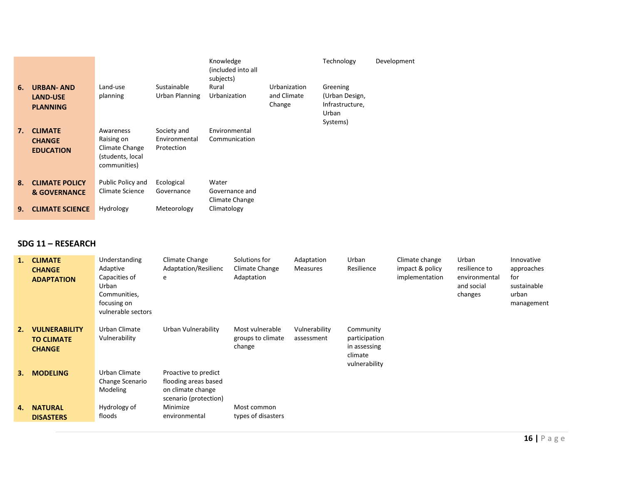|    |                                                        |                                                                               |                                            | Knowledge<br>(included into all<br>subjects) |                                       | Technology                                                         | Development |
|----|--------------------------------------------------------|-------------------------------------------------------------------------------|--------------------------------------------|----------------------------------------------|---------------------------------------|--------------------------------------------------------------------|-------------|
| 6. | <b>URBAN-AND</b><br><b>LAND-USE</b><br><b>PLANNING</b> | Land-use<br>planning                                                          | Sustainable<br>Urban Planning              | Rural<br>Urbanization                        | Urbanization<br>and Climate<br>Change | Greening<br>(Urban Design,<br>Infrastructure,<br>Urban<br>Systems) |             |
| 7. | <b>CLIMATE</b><br><b>CHANGE</b><br><b>EDUCATION</b>    | Awareness<br>Raising on<br>Climate Change<br>(students, local<br>communities) | Society and<br>Environmental<br>Protection | Environmental<br>Communication               |                                       |                                                                    |             |
| 8. | <b>CLIMATE POLICY</b><br>& GOVERNANCE                  | Public Policy and<br><b>Climate Science</b>                                   | Ecological<br>Governance                   | Water<br>Governance and<br>Climate Change    |                                       |                                                                    |             |
| 9. | <b>CLIMATE SCIENCE</b>                                 | Hydrology                                                                     | Meteorology                                | Climatology                                  |                                       |                                                                    |             |

#### **SDG 11 – RESEARCH**

| 1. | <b>CLIMATE</b><br><b>CHANGE</b><br><b>ADAPTATION</b>       | Understanding<br>Adaptive<br>Capacities of<br>Urban<br>Communities,<br>focusing on<br>vulnerable sectors | Climate Change<br>Adaptation/Resilienc<br>e                                                | Solutions for<br>Climate Change<br>Adaptation  | Adaptation<br><b>Measures</b> | Urban<br>Resilience                                                    | Climate change<br>impact & policy<br>implementation | Urban<br>resilience to<br>environmental<br>and social<br>changes | Innovative<br>approaches<br>for<br>sustainable<br>urban<br>management |
|----|------------------------------------------------------------|----------------------------------------------------------------------------------------------------------|--------------------------------------------------------------------------------------------|------------------------------------------------|-------------------------------|------------------------------------------------------------------------|-----------------------------------------------------|------------------------------------------------------------------|-----------------------------------------------------------------------|
| 2. | <b>VULNERABILITY</b><br><b>TO CLIMATE</b><br><b>CHANGE</b> | Urban Climate<br>Vulnerability                                                                           | Urban Vulnerability                                                                        | Most vulnerable<br>groups to climate<br>change | Vulnerability<br>assessment   | Community<br>participation<br>in assessing<br>climate<br>vulnerability |                                                     |                                                                  |                                                                       |
| 3. | <b>MODELING</b>                                            | Urban Climate<br>Change Scenario<br>Modeling                                                             | Proactive to predict<br>flooding areas based<br>on climate change<br>scenario (protection) |                                                |                               |                                                                        |                                                     |                                                                  |                                                                       |
| 4. | <b>NATURAL</b><br><b>DISASTERS</b>                         | Hydrology of<br>floods                                                                                   | Minimize<br>environmental                                                                  | Most common<br>types of disasters              |                               |                                                                        |                                                     |                                                                  |                                                                       |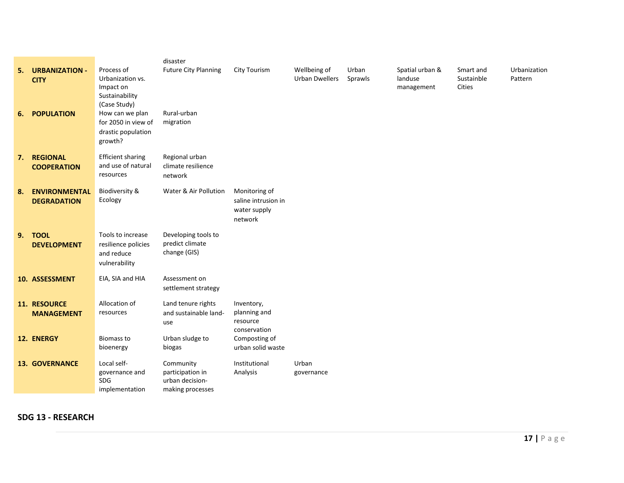|    |                                            |                                                                               | disaster                                                             |                                                                 |                                       |                  |                                          |                                   |                         |
|----|--------------------------------------------|-------------------------------------------------------------------------------|----------------------------------------------------------------------|-----------------------------------------------------------------|---------------------------------------|------------------|------------------------------------------|-----------------------------------|-------------------------|
| 5. | <b>URBANIZATION -</b><br><b>CITY</b>       | Process of<br>Urbanization vs.<br>Impact on<br>Sustainability<br>(Case Study) | <b>Future City Planning</b>                                          | <b>City Tourism</b>                                             | Wellbeing of<br><b>Urban Dwellers</b> | Urban<br>Sprawls | Spatial urban &<br>landuse<br>management | Smart and<br>Sustainble<br>Cities | Urbanization<br>Pattern |
| 6. | <b>POPULATION</b>                          | How can we plan<br>for 2050 in view of<br>drastic population<br>growth?       | Rural-urban<br>migration                                             |                                                                 |                                       |                  |                                          |                                   |                         |
| 7. | <b>REGIONAL</b><br><b>COOPERATION</b>      | <b>Efficient sharing</b><br>and use of natural<br>resources                   | Regional urban<br>climate resilience<br>network                      |                                                                 |                                       |                  |                                          |                                   |                         |
| 8. | <b>ENVIRONMENTAL</b><br><b>DEGRADATION</b> | Biodiversity &<br>Ecology                                                     | Water & Air Pollution                                                | Monitoring of<br>saline intrusion in<br>water supply<br>network |                                       |                  |                                          |                                   |                         |
| 9. | <b>TOOL</b><br><b>DEVELOPMENT</b>          | Tools to increase<br>resilience policies<br>and reduce<br>vulnerability       | Developing tools to<br>predict climate<br>change (GIS)               |                                                                 |                                       |                  |                                          |                                   |                         |
|    | 10. ASSESSMENT                             | EIA, SIA and HIA                                                              | Assessment on<br>settlement strategy                                 |                                                                 |                                       |                  |                                          |                                   |                         |
|    | 11. RESOURCE<br><b>MANAGEMENT</b>          | Allocation of<br>resources                                                    | Land tenure rights<br>and sustainable land-<br>use                   | Inventory,<br>planning and<br>resource<br>conservation          |                                       |                  |                                          |                                   |                         |
|    | 12. ENERGY                                 | <b>Biomass to</b><br>bioenergy                                                | Urban sludge to<br>biogas                                            | Composting of<br>urban solid waste                              |                                       |                  |                                          |                                   |                         |
|    | <b>13. GOVERNANCE</b>                      | Local self-<br>governance and<br>SDG<br>implementation                        | Community<br>participation in<br>urban decision-<br>making processes | Institutional<br>Analysis                                       | Urban<br>governance                   |                  |                                          |                                   |                         |

**SDG 13 - RESEARCH**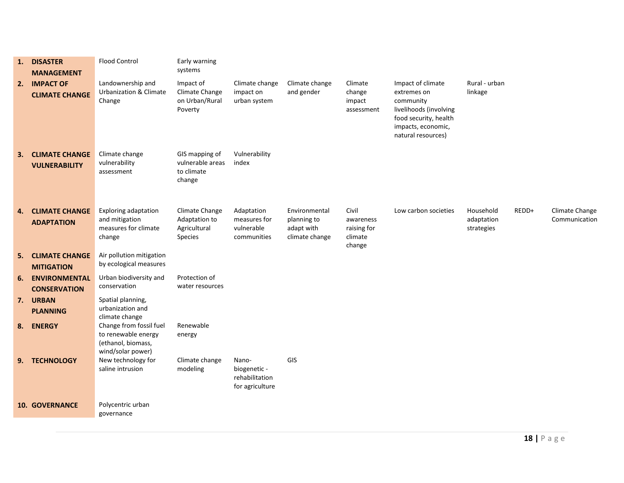| 1. | <b>DISASTER</b><br><b>MANAGEMENT</b>          | <b>Flood Control</b>                                                                      | Early warning<br>systems                                   |                                                            |                                                              |                                                        |                                                                                                                                              |                                       |       |                                 |
|----|-----------------------------------------------|-------------------------------------------------------------------------------------------|------------------------------------------------------------|------------------------------------------------------------|--------------------------------------------------------------|--------------------------------------------------------|----------------------------------------------------------------------------------------------------------------------------------------------|---------------------------------------|-------|---------------------------------|
| 2. | <b>IMPACT OF</b><br><b>CLIMATE CHANGE</b>     | Landownership and<br>Urbanization & Climate<br>Change                                     | Impact of<br>Climate Change<br>on Urban/Rural<br>Poverty   | Climate change<br>impact on<br>urban system                | Climate change<br>and gender                                 | Climate<br>change<br>impact<br>assessment              | Impact of climate<br>extremes on<br>community<br>livelihoods (involving<br>food security, health<br>impacts, economic,<br>natural resources) | Rural - urban<br>linkage              |       |                                 |
| 3. | <b>CLIMATE CHANGE</b><br><b>VULNERABILITY</b> | Climate change<br>vulnerability<br>assessment                                             | GIS mapping of<br>vulnerable areas<br>to climate<br>change | Vulnerability<br>index                                     |                                                              |                                                        |                                                                                                                                              |                                       |       |                                 |
| 4. | <b>CLIMATE CHANGE</b><br><b>ADAPTATION</b>    | Exploring adaptation<br>and mitigation<br>measures for climate<br>change                  | Climate Change<br>Adaptation to<br>Agricultural<br>Species | Adaptation<br>measures for<br>vulnerable<br>communities    | Environmental<br>planning to<br>adapt with<br>climate change | Civil<br>awareness<br>raising for<br>climate<br>change | Low carbon societies                                                                                                                         | Household<br>adaptation<br>strategies | REDD+ | Climate Change<br>Communication |
|    | <b>5. CLIMATE CHANGE</b><br><b>MITIGATION</b> | Air pollution mitigation<br>by ecological measures                                        |                                                            |                                                            |                                                              |                                                        |                                                                                                                                              |                                       |       |                                 |
| 6. | <b>ENVIRONMENTAL</b><br><b>CONSERVATION</b>   | Urban biodiversity and<br>conservation                                                    | Protection of<br>water resources                           |                                                            |                                                              |                                                        |                                                                                                                                              |                                       |       |                                 |
|    | 7. URBAN<br><b>PLANNING</b>                   | Spatial planning,<br>urbanization and<br>climate change                                   |                                                            |                                                            |                                                              |                                                        |                                                                                                                                              |                                       |       |                                 |
| 8. | <b>ENERGY</b>                                 | Change from fossil fuel<br>to renewable energy<br>(ethanol, biomass,<br>wind/solar power) | Renewable<br>energy                                        |                                                            |                                                              |                                                        |                                                                                                                                              |                                       |       |                                 |
|    | 9. TECHNOLOGY                                 | New technology for<br>saline intrusion                                                    | Climate change<br>modeling                                 | Nano-<br>biogenetic -<br>rehabilitation<br>for agriculture | GIS                                                          |                                                        |                                                                                                                                              |                                       |       |                                 |
|    | <b>10. GOVERNANCE</b>                         | Polycentric urban<br>governance                                                           |                                                            |                                                            |                                                              |                                                        |                                                                                                                                              |                                       |       |                                 |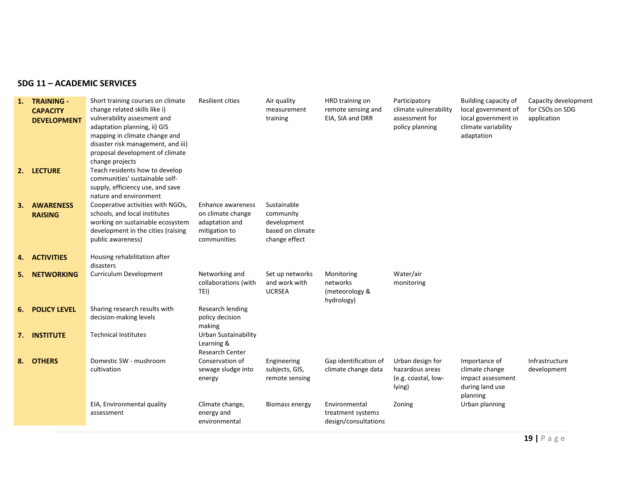#### **SDG 11 – ACADEMIC SERVICES**

| 1. | <b>TRAINING -</b><br><b>CAPACITY</b><br><b>DEVELOPMENT</b><br>2. LECTURE | Short training courses on climate<br>change related skills like i)<br>vulnerability assesment and<br>adaptation planning, ii) GIS<br>mapping in climate change and<br>disaster risk management, and iii)<br>proposal development of climate<br>change projects<br>Teach residents how to develop<br>communities' sustainable self-<br>supply, efficiency use, and save<br>nature and environment | <b>Resilient cities</b>                                                                  | Air quality<br>measurement<br>training                                       | HRD training on<br>remote sensing and<br>EIA, SIA and DRR  | Participatory<br>climate vulnerability<br>assessment for<br>policy planning | Building capacity of<br>local government of<br>local government in<br>climate variability<br>adaptation | Capacity development<br>for CSOs on SDG<br>application |
|----|--------------------------------------------------------------------------|--------------------------------------------------------------------------------------------------------------------------------------------------------------------------------------------------------------------------------------------------------------------------------------------------------------------------------------------------------------------------------------------------|------------------------------------------------------------------------------------------|------------------------------------------------------------------------------|------------------------------------------------------------|-----------------------------------------------------------------------------|---------------------------------------------------------------------------------------------------------|--------------------------------------------------------|
| З. | <b>AWARENESS</b><br><b>RAISING</b>                                       | Cooperative activities with NGOs,<br>schools, and local institutes<br>working on sustainable ecosystem<br>development in the cities (raising<br>public awareness)                                                                                                                                                                                                                                | Enhance awareness<br>on climate change<br>adaptation and<br>mitigation to<br>communities | Sustainable<br>community<br>development<br>based on climate<br>change effect |                                                            |                                                                             |                                                                                                         |                                                        |
| 4. | <b>ACTIVITIES</b>                                                        | Housing rehabilitation after<br>disasters                                                                                                                                                                                                                                                                                                                                                        |                                                                                          |                                                                              |                                                            |                                                                             |                                                                                                         |                                                        |
| 5. | <b>NETWORKING</b>                                                        | Curriculum Development                                                                                                                                                                                                                                                                                                                                                                           | Networking and<br>collaborations (with<br>TEI)                                           | Set up networks<br>and work with<br><b>UCRSEA</b>                            | Monitoring<br>networks<br>(meteorology &<br>hydrology)     | Water/air<br>monitoring                                                     |                                                                                                         |                                                        |
|    | <b>6. POLICY LEVEL</b>                                                   | Sharing research results with<br>decision-making levels                                                                                                                                                                                                                                                                                                                                          | Research lending<br>policy decision<br>making                                            |                                                                              |                                                            |                                                                             |                                                                                                         |                                                        |
|    | 7. INSTITUTE                                                             | <b>Technical Institutes</b>                                                                                                                                                                                                                                                                                                                                                                      | Urban Sustainability<br>Learning &<br><b>Research Center</b>                             |                                                                              |                                                            |                                                                             |                                                                                                         |                                                        |
| 8. | <b>OTHERS</b>                                                            | Domestic SW - mushroom<br>cultivation                                                                                                                                                                                                                                                                                                                                                            | Conservation of<br>sewage sludge into<br>energy                                          | Engineering<br>subjects, GIS,<br>remote sensing                              | Gap identification of<br>climate change data               | Urban design for<br>hazardous areas<br>(e.g. coastal, low-<br>lying)        | Importance of<br>climate change<br>impact assessment<br>during land use<br>planning                     | Infrastructure<br>development                          |
|    |                                                                          | EIA, Environmental quality<br>assessment                                                                                                                                                                                                                                                                                                                                                         | Climate change,<br>energy and<br>environmental                                           | Biomass energy                                                               | Environmental<br>treatment systems<br>design/consultations | Zoning                                                                      | Urban planning                                                                                          |                                                        |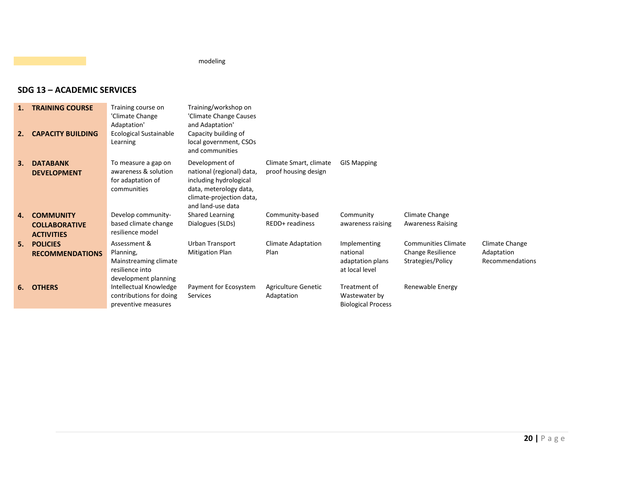modeling

#### **SDG 13 – ACADEMIC SERVICES**

| 2. | <b>TRAINING COURSE</b><br><b>CAPACITY BUILDING</b> | Training course on<br>'Climate Change<br>Adaptation'<br><b>Ecological Sustainable</b><br>Learning | Training/workshop on<br>'Climate Change Causes<br>and Adaptation'<br>Capacity building of<br>local government, CSOs<br>and communities           |                                                |                                                            |                                               |                               |
|----|----------------------------------------------------|---------------------------------------------------------------------------------------------------|--------------------------------------------------------------------------------------------------------------------------------------------------|------------------------------------------------|------------------------------------------------------------|-----------------------------------------------|-------------------------------|
| 3. | <b>DATABANK</b><br><b>DEVELOPMENT</b>              | To measure a gap on<br>awareness & solution<br>for adaptation of<br>communities                   | Development of<br>national (regional) data,<br>including hydrological<br>data, meterology data,<br>climate-projection data,<br>and land-use data | Climate Smart, climate<br>proof housing design | <b>GIS Mapping</b>                                         |                                               |                               |
| 4. | <b>COMMUNITY</b>                                   | Develop community-                                                                                | Shared Learning                                                                                                                                  | Community-based                                | Community                                                  | Climate Change                                |                               |
|    | <b>COLLABORATIVE</b><br><b>ACTIVITIES</b>          | based climate change<br>resilience model                                                          | Dialogues (SLDs)                                                                                                                                 | REDD+ readiness                                | awareness raising                                          | <b>Awareness Raising</b>                      |                               |
| 5. | <b>POLICIES</b>                                    | Assessment &                                                                                      | Urban Transport                                                                                                                                  | Climate Adaptation                             | Implementing                                               | <b>Communities Climate</b>                    | Climate Change                |
|    | <b>RECOMMENDATIONS</b>                             | Planning,<br>Mainstreaming climate<br>resilience into<br>development planning                     | <b>Mitigation Plan</b>                                                                                                                           | Plan                                           | national<br>adaptation plans<br>at local level             | <b>Change Resilience</b><br>Strategies/Policy | Adaptation<br>Recommendations |
| 6. | <b>OTHERS</b>                                      | Intellectual Knowledge<br>contributions for doing<br>preventive measures                          | Payment for Ecosystem<br>Services                                                                                                                | Agriculture Genetic<br>Adaptation              | Treatment of<br>Wastewater by<br><b>Biological Process</b> | Renewable Energy                              |                               |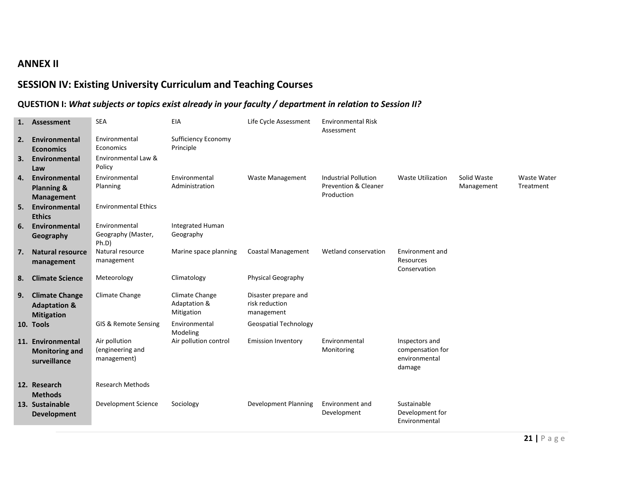### **ANNEX II**

### **SESSION IV: Existing University Curriculum and Teaching Courses**

### **QUESTION I:** *What subjects or topics exist already in your faculty / department in relation to Session II?*

| 1. | Assessment                                                            | <b>SEA</b>                                       | EIA                                          | Life Cycle Assessment                                | <b>Environmental Risk</b><br>Assessment                                      |                                                               |                           |                          |
|----|-----------------------------------------------------------------------|--------------------------------------------------|----------------------------------------------|------------------------------------------------------|------------------------------------------------------------------------------|---------------------------------------------------------------|---------------------------|--------------------------|
| 2. | Environmental<br><b>Economics</b>                                     | Environmental<br>Economics                       | <b>Sufficiency Economy</b><br>Principle      |                                                      |                                                                              |                                                               |                           |                          |
| 3. | Environmental<br>Law                                                  | Environmental Law &<br>Policy                    |                                              |                                                      |                                                                              |                                                               |                           |                          |
| 4. | Environmental<br><b>Planning &amp;</b><br><b>Management</b>           | Environmental<br>Planning                        | Environmental<br>Administration              | <b>Waste Management</b>                              | <b>Industrial Pollution</b><br><b>Prevention &amp; Cleaner</b><br>Production | <b>Waste Utilization</b>                                      | Solid Waste<br>Management | Waste Water<br>Treatment |
| 5. | Environmental<br><b>Ethics</b>                                        | <b>Environmental Ethics</b>                      |                                              |                                                      |                                                                              |                                                               |                           |                          |
| 6. | Environmental<br>Geography                                            | Environmental<br>Geography (Master,<br>Ph.D)     | Integrated Human<br>Geography                |                                                      |                                                                              |                                                               |                           |                          |
| 7. | <b>Natural resource</b><br>management                                 | Natural resource<br>management                   | Marine space planning                        | Coastal Management                                   | Wetland conservation                                                         | Environment and<br>Resources<br>Conservation                  |                           |                          |
| 8. | <b>Climate Science</b>                                                | Meteorology                                      | Climatology                                  | <b>Physical Geography</b>                            |                                                                              |                                                               |                           |                          |
| 9. | <b>Climate Change</b><br><b>Adaptation &amp;</b><br><b>Mitigation</b> | Climate Change                                   | Climate Change<br>Adaptation &<br>Mitigation | Disaster prepare and<br>risk reduction<br>management |                                                                              |                                                               |                           |                          |
|    | 10. Tools                                                             | GIS & Remote Sensing                             | Environmental<br>Modeling                    | <b>Geospatial Technology</b>                         |                                                                              |                                                               |                           |                          |
|    | 11. Environmental<br><b>Monitoring and</b><br>surveillance            | Air pollution<br>(engineering and<br>management) | Air pollution control                        | <b>Emission Inventory</b>                            | Environmental<br>Monitoring                                                  | Inspectors and<br>compensation for<br>environmental<br>damage |                           |                          |
|    | 12. Research<br><b>Methods</b>                                        | <b>Research Methods</b>                          |                                              |                                                      |                                                                              |                                                               |                           |                          |
|    | 13. Sustainable<br><b>Development</b>                                 | Development Science                              | Sociology                                    | <b>Development Planning</b>                          | Environment and<br>Development                                               | Sustainable<br>Development for<br>Environmental               |                           |                          |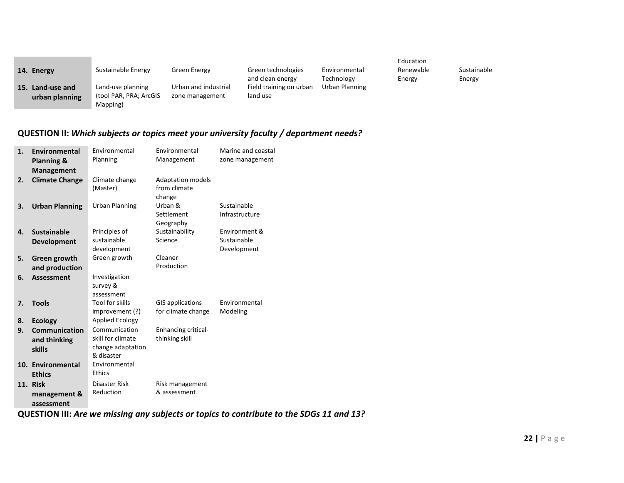| 14. Energy                            | Sustainable Energy                                      | Green Energy                            | Green technologies<br>and clean energy | Environmental<br>Technology | Education<br>Renewable<br>Energy | Sustainable<br>Energy |
|---------------------------------------|---------------------------------------------------------|-----------------------------------------|----------------------------------------|-----------------------------|----------------------------------|-----------------------|
| 15.<br>Land-use and<br>urban planning | Land-use planning<br>(tool PAR, PRA; ArcGIS<br>Mapping) | Urban and industrial<br>zone management | Field training on urban<br>land use    | Urban Planning              |                                  |                       |

#### **QUESTION II:** *Which subjects or topics meet your university faculty / department needs?*

| 1. | <b>Environmental</b><br><b>Planning &amp;</b><br><b>Management</b> | Environmental<br>Planning                                             | Environmental<br>Management                        | Marine and coastal<br>zone management       |
|----|--------------------------------------------------------------------|-----------------------------------------------------------------------|----------------------------------------------------|---------------------------------------------|
| 2. | <b>Climate Change</b>                                              | Climate change<br>(Master)                                            | <b>Adaptation models</b><br>from climate<br>change |                                             |
| 3. | <b>Urban Planning</b>                                              | <b>Urban Planning</b>                                                 | Urban &<br>Settlement<br>Geography                 | Sustainable<br>Infrastructure               |
| 4. | <b>Sustainable</b><br><b>Development</b>                           | Principles of<br>sustainable<br>development                           | Sustainability<br>Science                          | Environment &<br>Sustainable<br>Development |
| 5. | Green growth<br>and production                                     | Green growth                                                          | Cleaner<br>Production                              |                                             |
| 6. | <b>Assessment</b>                                                  | Investigation<br>survey &<br>assessment                               |                                                    |                                             |
| 7. | <b>Tools</b>                                                       | Tool for skills<br>improvement (?)                                    | <b>GIS applications</b><br>for climate change      | Environmental<br>Modeling                   |
| 8. | <b>Ecology</b>                                                     | <b>Applied Ecology</b>                                                |                                                    |                                             |
| 9. | Communication<br>and thinking<br><b>skills</b>                     | Communication<br>skill for climate<br>change adaptation<br>& disaster | <b>Enhancing critical-</b><br>thinking skill       |                                             |
|    | 10. Environmental<br><b>Ethics</b>                                 | Environmental<br><b>Ethics</b>                                        |                                                    |                                             |
|    | 11. Risk                                                           | Disaster Risk                                                         | Risk management                                    |                                             |
|    | management &<br>assessment                                         | Reduction                                                             | & assessment                                       |                                             |

**Contract Contract Contract** 

**QUESTION III:** *Are we missing any subjects or topics to contribute to the SDGs 11 and 13?*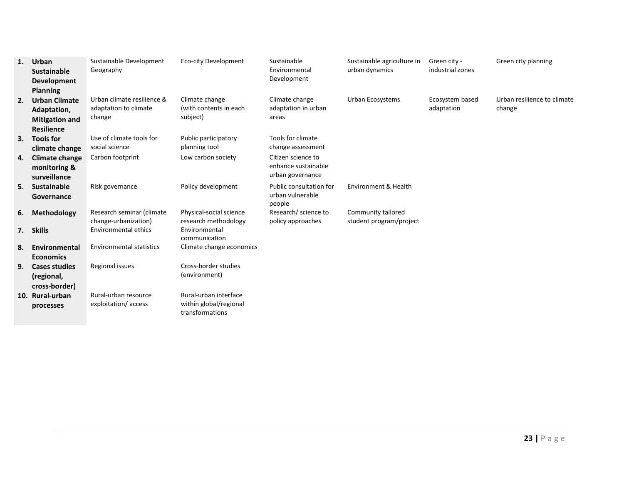| 1. | Urban<br><b>Sustainable</b><br><b>Development</b><br><b>Planning</b>              | Sustainable Development<br>Geography                          | Eco-city Development                                               | Sustainable<br>Environmental<br>Development                   | Sustainable agriculture in<br>urban dynamics  | Green city -<br>industrial zones | Green city planning                   |
|----|-----------------------------------------------------------------------------------|---------------------------------------------------------------|--------------------------------------------------------------------|---------------------------------------------------------------|-----------------------------------------------|----------------------------------|---------------------------------------|
| 2. | <b>Urban Climate</b><br>Adaptation,<br><b>Mitigation and</b><br><b>Resilience</b> | Urban climate resilience &<br>adaptation to climate<br>change | Climate change<br>(with contents in each<br>subject)               | Climate change<br>adaptation in urban<br>areas                | Urban Ecosystems                              | Ecosystem based<br>adaptation    | Urban resilience to climate<br>change |
|    | 3. Tools for<br>climate change                                                    | Use of climate tools for<br>social science                    | Public participatory<br>planning tool                              | Tools for climate<br>change assessment                        |                                               |                                  |                                       |
| 4. | <b>Climate change</b><br>monitoring &<br>surveillance                             | Carbon footprint                                              | Low carbon society                                                 | Citizen science to<br>enhance sustainable<br>urban governance |                                               |                                  |                                       |
| 5. | Sustainable<br>Governance                                                         | Risk governance                                               | Policy development                                                 | Public consultation for<br>urban vulnerable<br>people         | Environment & Health                          |                                  |                                       |
| 6. | Methodology                                                                       | Research seminar (climate<br>change-urbanization)             | Physical-social science<br>research methodology                    | Research/ science to<br>policy approaches                     | Community tailored<br>student program/project |                                  |                                       |
|    | 7. Skills                                                                         | <b>Environmental ethics</b>                                   | Environmental<br>communication                                     |                                                               |                                               |                                  |                                       |
| 8. | Environmental<br><b>Economics</b>                                                 | <b>Environmental statistics</b>                               | Climate change economics                                           |                                                               |                                               |                                  |                                       |
| 9. | <b>Cases studies</b><br>(regional,<br>cross-border)                               | Regional issues                                               | Cross-border studies<br>(environment)                              |                                                               |                                               |                                  |                                       |
|    | 10. Rural-urban<br>processes                                                      | Rural-urban resource<br>exploitation/access                   | Rural-urban interface<br>within global/regional<br>transformations |                                                               |                                               |                                  |                                       |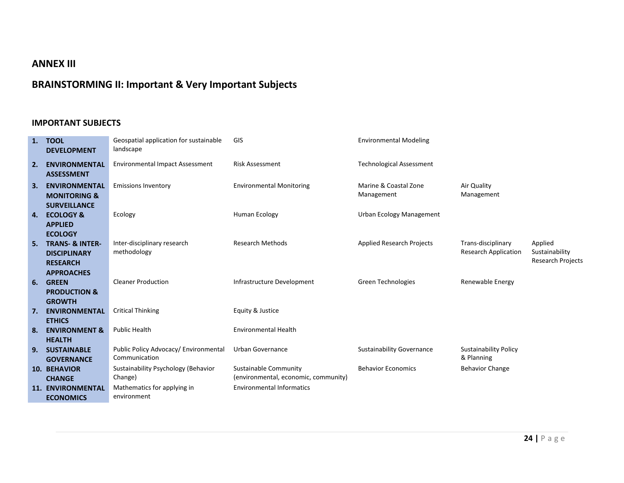### **ANNEX III**

### **BRAINSTORMING II: Important & Very Important Subjects**

#### **IMPORTANT SUBJECTS**

| 1. | <b>TOOL</b><br><b>DEVELOPMENT</b>                                                      | Geospatial application for sustainable<br>landscape   | GIS                                                           | <b>Environmental Modeling</b>       |                                                   |                                                       |
|----|----------------------------------------------------------------------------------------|-------------------------------------------------------|---------------------------------------------------------------|-------------------------------------|---------------------------------------------------|-------------------------------------------------------|
| 2. | <b>ENVIRONMENTAL</b><br><b>ASSESSMENT</b>                                              | <b>Environmental Impact Assessment</b>                | <b>Risk Assessment</b>                                        | <b>Technological Assessment</b>     |                                                   |                                                       |
| 3. | <b>ENVIRONMENTAL</b><br><b>MONITORING &amp;</b><br><b>SURVEILLANCE</b>                 | <b>Emissions Inventory</b>                            | <b>Environmental Monitoring</b>                               | Marine & Coastal Zone<br>Management | Air Quality<br>Management                         |                                                       |
| 4. | <b>ECOLOGY &amp;</b><br><b>APPLIED</b>                                                 | Ecology                                               | Human Ecology                                                 | Urban Ecology Management            |                                                   |                                                       |
| 5. | <b>ECOLOGY</b><br><b>TRANS- &amp; INTER-</b><br><b>DISCIPLINARY</b><br><b>RESEARCH</b> | Inter-disciplinary research<br>methodology            | <b>Research Methods</b>                                       | <b>Applied Research Projects</b>    | Trans-disciplinary<br><b>Research Application</b> | Applied<br>Sustainability<br><b>Research Projects</b> |
| 6. | <b>APPROACHES</b><br><b>GREEN</b><br><b>PRODUCTION &amp;</b>                           | <b>Cleaner Production</b>                             | Infrastructure Development                                    | Green Technologies                  | Renewable Energy                                  |                                                       |
| 7. | <b>GROWTH</b><br><b>ENVIRONMENTAL</b><br><b>ETHICS</b>                                 | <b>Critical Thinking</b>                              | Equity & Justice                                              |                                     |                                                   |                                                       |
| 8. | <b>ENVIRONMENT &amp;</b><br><b>HEALTH</b>                                              | <b>Public Health</b>                                  | <b>Environmental Health</b>                                   |                                     |                                                   |                                                       |
| 9. | <b>SUSTAINABLE</b><br><b>GOVERNANCE</b>                                                | Public Policy Advocacy/Environmental<br>Communication | Urban Governance                                              | <b>Sustainability Governance</b>    | <b>Sustainability Policy</b><br>& Planning        |                                                       |
|    | <b>10. BEHAVIOR</b><br><b>CHANGE</b>                                                   | Sustainability Psychology (Behavior<br>Change)        | Sustainable Community<br>(environmental, economic, community) | <b>Behavior Economics</b>           | <b>Behavior Change</b>                            |                                                       |
|    | <b>11. ENVIRONMENTAL</b><br><b>ECONOMICS</b>                                           | Mathematics for applying in<br>environment            | <b>Environmental Informatics</b>                              |                                     |                                                   |                                                       |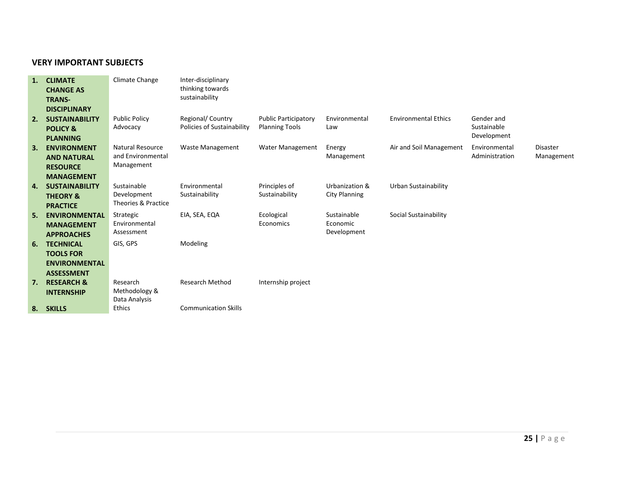#### **VERY IMPORTANT SUBJECTS**

| 1. | <b>CLIMATE</b>        | Climate Change       | Inter-disciplinary          |                             |                      |                             |                |                 |
|----|-----------------------|----------------------|-----------------------------|-----------------------------|----------------------|-----------------------------|----------------|-----------------|
|    | <b>CHANGE AS</b>      |                      | thinking towards            |                             |                      |                             |                |                 |
|    | <b>TRANS-</b>         |                      | sustainability              |                             |                      |                             |                |                 |
|    | <b>DISCIPLINARY</b>   |                      |                             |                             |                      |                             |                |                 |
| 2. | <b>SUSTAINABILITY</b> | <b>Public Policy</b> | Regional/ Country           | <b>Public Participatory</b> | Environmental        | <b>Environmental Ethics</b> | Gender and     |                 |
|    | <b>POLICY &amp;</b>   | Advocacy             | Policies of Sustainability  | <b>Planning Tools</b>       | Law                  |                             | Sustainable    |                 |
|    | <b>PLANNING</b>       |                      |                             |                             |                      |                             | Development    |                 |
| З. | <b>ENVIRONMENT</b>    | Natural Resource     | <b>Waste Management</b>     | Water Management            | Energy               | Air and Soil Management     | Environmental  | <b>Disaster</b> |
|    | <b>AND NATURAL</b>    | and Environmental    |                             |                             | Management           |                             | Administration | Management      |
|    | <b>RESOURCE</b>       | Management           |                             |                             |                      |                             |                |                 |
|    | <b>MANAGEMENT</b>     |                      |                             |                             |                      |                             |                |                 |
| 4. | <b>SUSTAINABILITY</b> | Sustainable          | Environmental               | Principles of               | Urbanization &       | Urban Sustainability        |                |                 |
|    | <b>THEORY &amp;</b>   | Development          | Sustainability              | Sustainability              | <b>City Planning</b> |                             |                |                 |
|    | <b>PRACTICE</b>       | Theories & Practice  |                             |                             |                      |                             |                |                 |
| 5. | <b>ENVIRONMENTAL</b>  | Strategic            | EIA, SEA, EQA               | Ecological                  | Sustainable          | Social Sustainability       |                |                 |
|    | <b>MANAGEMENT</b>     | Environmental        |                             | Economics                   | Economic             |                             |                |                 |
|    | <b>APPROACHES</b>     | Assessment           |                             |                             | Development          |                             |                |                 |
| 6. | <b>TECHNICAL</b>      | GIS, GPS             | Modeling                    |                             |                      |                             |                |                 |
|    | <b>TOOLS FOR</b>      |                      |                             |                             |                      |                             |                |                 |
|    | <b>ENVIRONMENTAL</b>  |                      |                             |                             |                      |                             |                |                 |
|    | <b>ASSESSMENT</b>     |                      |                             |                             |                      |                             |                |                 |
| 7. | <b>RESEARCH &amp;</b> | Research             | <b>Research Method</b>      | Internship project          |                      |                             |                |                 |
|    | <b>INTERNSHIP</b>     | Methodology &        |                             |                             |                      |                             |                |                 |
|    |                       | Data Analysis        |                             |                             |                      |                             |                |                 |
|    | 8. SKILLS             | Ethics               | <b>Communication Skills</b> |                             |                      |                             |                |                 |